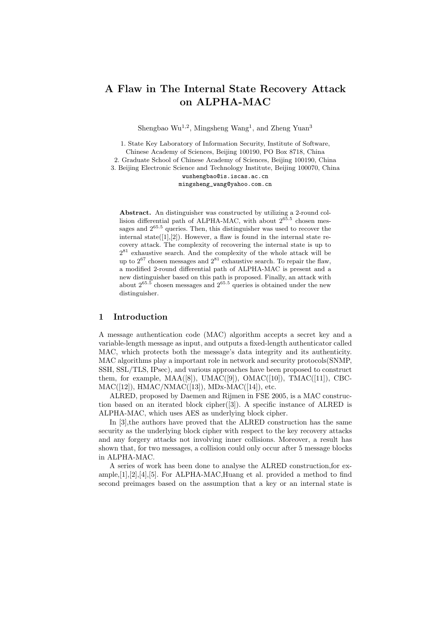# **A Flaw in The Internal State Recovery Attack on ALPHA-MAC**

Shengbao  $\text{Wu}^{1,2}$ , Mingsheng  $\text{Wang}^1$ , and Zheng Yuan<sup>3</sup>

1. State Key Laboratory of Information Security, Institute of Software, Chinese Academy of Sciences, Beijing 100190, PO Box 8718, China 2. Graduate School of Chinese Academy of Sciences, Beijing 100190, China 3. Beijing Electronic Science and Technology Institute, Beijing 100070, China wushengbao@is.iscas.ac.cn

mingsheng\_wang@yahoo.com.cn

**Abstract.** An distinguisher was constructed by utilizing a 2-round collision differential path of ALPHA-MAC, with about  $2^{65.5}$  chosen messages and 2<sup>65</sup>*.*<sup>5</sup> queries. Then, this distinguisher was used to recover the internal state( $[1]$ , $[2]$ ). However, a flaw is found in the internal state recovery attack. The complexity of recovering the internal state is up to  $2^{81}$  exhaustive search. And the complexity of the whole attack will be up to  $2^{67}$  chosen messages and  $2^{81}$  exhaustive search. To repair the flaw, a modified 2-round differential path of ALPHA-MAC is present and a new distinguisher based on this path is proposed. Finally, an attack with about  $2^{65.5}$  chosen messages and  $2^{65.5}$  queries is obtained under the new distinguisher.

## **1 Introduction**

A message authentication code (MAC) algorithm accepts a secret key and a variable-length message as input, and outputs a fixed-length authenticator called MAC, which protects both the message's data integrity and its authenticity. MAC algorithms play a important role in network and security protocols(SNMP, SSH, SSL/TLS, IPsec), and various approaches have been proposed to construct them, for example,  $MAA([8])$ ,  $UMAC([9])$ ,  $OMAC([10])$ ,  $TMAC([11])$ , CBC-MAC([12]), HMAC/NMAC([13]), MDx-MAC([14]), etc.

ALRED, proposed by Daemen and Rijmen in FSE 2005, is a MAC construction based on an iterated block cipher([3]). A specific instance of ALRED is ALPHA-MAC, which uses AES as underlying block cipher.

In [3],the authors have proved that the ALRED construction has the same security as the underlying block cipher with respect to the key recovery attacks and any forgery attacks not involving inner collisions. Moreover, a result has shown that, for two messages, a collision could only occur after 5 message blocks in ALPHA-MAC.

A series of work has been done to analyse the ALRED construction,for example, $[1], [2], [4], [5]$ . For ALPHA-MAC, Huang et al. provided a method to find second preimages based on the assumption that a key or an internal state is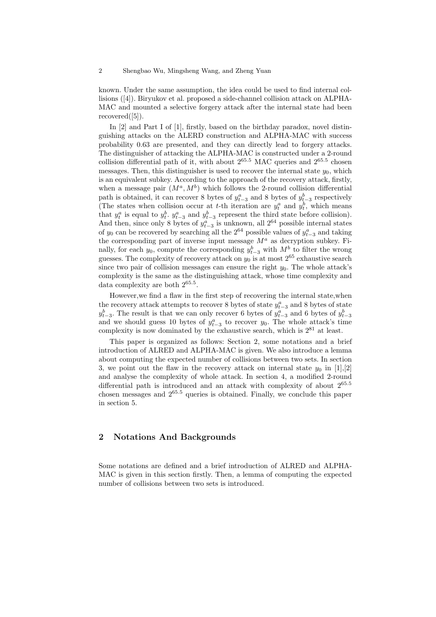known. Under the same assumption, the idea could be used to find internal collisions ([4]). Biryukov et al. proposed a side-channel collision attack on ALPHA-MAC and mounted a selective forgery attack after the internal state had been  $recovered([5]).$ 

In [2] and Part I of [1], firstly, based on the birthday paradox, novel distinguishing attacks on the ALERD construction and ALPHA-MAC with success probability 0.63 are presented, and they can directly lead to forgery attacks. The distinguisher of attacking the ALPHA-MAC is constructed under a 2-round collision differential path of it, with about  $2^{65.5}$  MAC queries and  $2^{65.5}$  chosen messages. Then, this distinguisher is used to recover the internal state  $y_0$ , which is an equivalent subkey. According to the approach of the recovery attack, firstly, when a message pair  $(M^a, M^b)$  which follows the 2-round collision differential path is obtained, it can recover 8 bytes of  $y_{t-3}^a$  and 8 bytes of  $y_{t-3}^b$  respectively (The states when collision occur at *t*-th iteration are  $y_t^a$  and  $y_t^b$ , which means that  $y_t^a$  is equal to  $y_t^b$ .  $y_{t-3}^a$  and  $y_{t-3}^b$  represent the third state before collision). And then, since only 8 bytes of  $y_{t-3}^a$  is unknown, all  $2^{64}$  possible internal states of *y*<sub>0</sub> can be recovered by searching all the  $2^{64}$  possible values of  $y_{t-3}^a$  and taking of *y*<sub>*t*−3</sub> and taking the corresponding part of inverse input message *M<sup>a</sup>* as decryption subkey. Finally, for each *y*<sub>0</sub>, compute the corresponding  $y_{t-3}^b$  with  $M^b$  to filter the wrong guesses. The complexity of recovery attack on  $y_0$  is at most  $2^{65}$  exhaustive search since two pair of collision messages can ensure the right  $y_0$ . The whole attack's complexity is the same as the distinguishing attack, whose time complexity and data complexity are both 2<sup>65</sup>*.*<sup>5</sup> .

However,we find a flaw in the first step of recovering the internal state,when the recovery attack attempts to recover 8 bytes of state  $y_{t-3}^a$  and 8 bytes of state *y*<sup>*b*</sup><sub>*t*</sub><sup>*a*</sup>. The result is that we can only recover 6 bytes of  $y_{t-3}^a$  and 6 bytes of  $y_{t-3}^b$ and we should guess 10 bytes of  $y_{t-3}^a$  to recover  $y_0$ . The whole attack's time complexity is now dominated by the exhaustive search, which is  $2^{81}$  at least.

This paper is organized as follows: Section 2, some notations and a brief introduction of ALRED and ALPHA-MAC is given. We also introduce a lemma about computing the expected number of collisions between two sets. In section 3, we point out the flaw in the recovery attack on internal state  $y_0$  in [1],[2] and analyse the complexity of whole attack. In section 4, a modified 2-round differential path is introduced and an attack with complexity of about 2<sup>65</sup>*.*<sup>5</sup> chosen messages and 2<sup>65</sup>*.*<sup>5</sup> queries is obtained. Finally, we conclude this paper in section 5.

## **2 Notations And Backgrounds**

Some notations are defined and a brief introduction of ALRED and ALPHA-MAC is given in this section firstly. Then, a lemma of computing the expected number of collisions between two sets is introduced.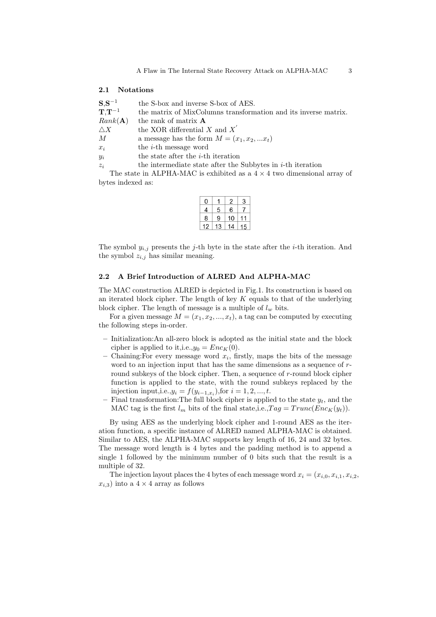#### **2.1 Notations**

| $S, S^{-1}$   | the S-box and inverse S-box of AES.                             |
|---------------|-----------------------------------------------------------------|
| $T,T^{-1}$    | the matrix of MixColumns transformation and its inverse matrix. |
| Rank(A)       | the rank of matrix <b>A</b>                                     |
| $\triangle X$ | the XOR differential X and $X'$                                 |
| М             | a message has the form $M = (x_1, x_2,  x_t)$                   |
| $x_i$         | the <i>i</i> -th message word                                   |
| $y_i$         | the state after the <i>i</i> -th iteration                      |
| $z_i$         | the intermediate state after the Subbytes in $i$ -th iteration  |

The state in ALPHA-MAC is exhibited as a 4 *×* 4 two dimensional array of bytes indexed as:

| Ω |   | $\overline{c}$ | 3 |
|---|---|----------------|---|
| 4 | 5 | 6              |   |
| 8 | 9 | 10             |   |
|   | 3 | 14             | 5 |

The symbol  $y_{i,j}$  presents the *j*-th byte in the state after the *i*-th iteration. And the symbol  $z_{i,j}$  has similar meaning.

#### **2.2 A Brief Introduction of ALRED And ALPHA-MAC**

The MAC construction ALRED is depicted in Fig.1. Its construction is based on an iterated block cipher. The length of key *K* equals to that of the underlying block cipher. The length of message is a multiple of  $l_w$  bits.

For a given message  $M = (x_1, x_2, ..., x_t)$ , a tag can be computed by executing the following steps in-order.

- **–** Initialization:An all-zero block is adopted as the initial state and the block cipher is applied to it, i.e.,  $y_0 = Enc_K(0)$ .
- **–** Chaining:For every message word *x<sup>i</sup>* , firstly, maps the bits of the message word to an injection input that has the same dimensions as a sequence of *r*round subkeys of the block cipher. Then, a sequence of *r*-round block cipher function is applied to the state, with the round subkeys replaced by the injection input,i.e., $y_i = f(y_{i-1,x_i})$ , for  $i = 1, 2, ..., t$ .
- $-$  Final transformation: The full block cipher is applied to the state  $y_t$ , and the MAC tag is the first  $l_m$  bits of the final state,i.e., $Tag = Trunc(Enc_K(y_t)).$

By using AES as the underlying block cipher and 1-round AES as the iteration function, a specific instance of ALRED named ALPHA-MAC is obtained. Similar to AES, the ALPHA-MAC supports key length of 16, 24 and 32 bytes. The message word length is 4 bytes and the padding method is to append a single 1 followed by the minimum number of 0 bits such that the result is a multiple of 32.

The injection layout places the 4 bytes of each message word  $x_i = (x_{i,0}, x_{i,1}, x_{i,2},$  $x_{i,3}$ ) into a  $4 \times 4$  array as follows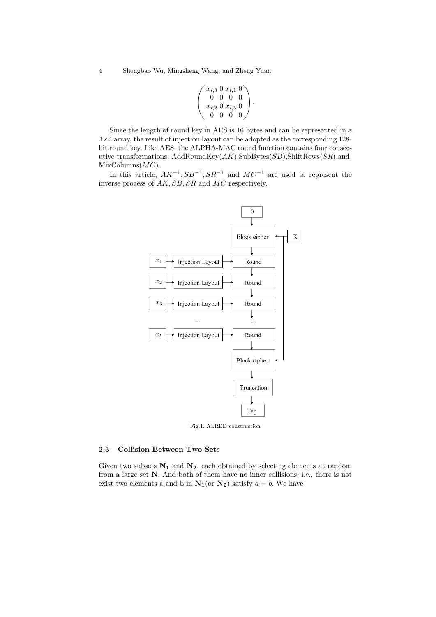$$
\left(\begin{array}{l}x_{i,0} \ 0 \ x_{i,1} \ 0 \ 0 \ 0 \ 0 \ 0 \\ x_{i,2} \ 0 \ x_{i,3} \ 0 \ 0 \ 0 \ 0 \end{array}\right).
$$

Since the length of round key in AES is 16 bytes and can be represented in a 4*×*4 array, the result of injection layout can be adopted as the corresponding 128 bit round key. Like AES, the ALPHA-MAC round function contains four consecutive transformations: AddRoundKey(*AK*),SubBytes(*SB*),ShiftRows(*SR*),and MixColumns(*MC*).

In this article, *AK−*<sup>1</sup> *, SB−*<sup>1</sup> *, SR−*<sup>1</sup> and *MC−*<sup>1</sup> are used to represent the inverse process of *AK, SB, SR* and *MC* respectively.



Fig.1. ALRED construction

#### **2.3 Collision Between Two Sets**

Given two subsets  $N_1$  and  $N_2$ , each obtained by selecting elements at random from a large set **N**. And both of them have no inner collisions, i.e., there is not exist two elements a and b in  $N_1$  (or  $N_2$ ) satisfy  $a = b$ . We have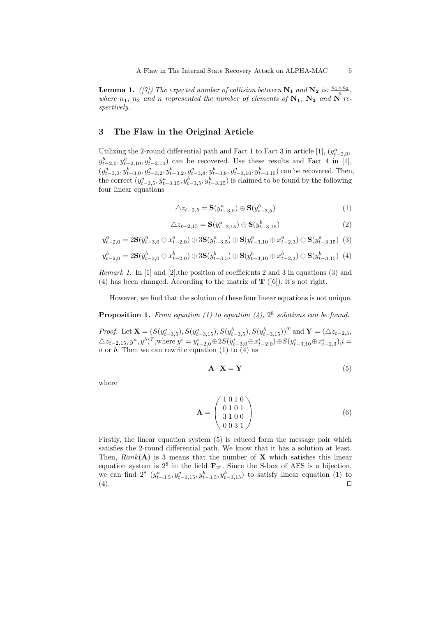**Lemma 1.** *([7])* The expected number of collision between  $N_1$  *and*  $N_2$  *is:*  $\frac{n_1 \times n_2}{n}$ , *where*  $n_1$ ,  $n_2$  *and n represented the number of elements of*  $N_1$ ,  $N_2$  *and*  $N$  *respectively.*

# **3 The Flaw in the Original Article**

Utilizing the 2-round differential path and Fact 1 to Fact 3 in article [1],  $(y_{t-2,0}^a,$  $y_{t-2,0}^b, y_{t-2,10}^a, y_{t-2,10}^b$  can be recovered. Use these results and Fact 4 in [1],  $(y_{t-3,0}^a, y_{t-3,0}^b, y_{t-3,2}^a, y_{t-3,2}^b, y_{t-3,8}^a, y_{t-3,8}^b, y_{t-3,10}^a, y_{t-3,10}^b)$  can be recovered. Then, the correct  $(y_{t-3,5}^a, y_{t-3,15}^a, y_{t-3,5}^b, y_{t-3,15}^b)$  is claimed to be found by the following four linear equations

$$
\triangle z_{t-2,5} = \mathbf{S}(y_{t-3,5}^a) \oplus \mathbf{S}(y_{t-3,5}^b)
$$
 (1)

$$
\triangle z_{t-2,15} = \mathbf{S}(y_{t-3,15}^a) \oplus \mathbf{S}(y_{t-3,15}^b)
$$
 (2)

$$
y_{t-2,0}^a = 2\mathbf{S}(y_{t-3,0}^a \oplus x_{t-2,0}^a) \oplus 3\mathbf{S}(y_{t-3,5}^a) \oplus \mathbf{S}(y_{t-3,10}^a \oplus x_{t-2,3}^a) \oplus \mathbf{S}(y_{t-3,15}^a)
$$
 (3)

$$
y_{t-2,0}^b = 2\mathbf{S}(y_{t-3,0}^b \oplus x_{t-2,0}^b) \oplus 3\mathbf{S}(y_{t-3,5}^b) \oplus \mathbf{S}(y_{t-3,10}^b \oplus x_{t-2,3}^b) \oplus \mathbf{S}(y_{t-3,15}^b)
$$
(4)

*Remark 1.* In [1] and [2], the position of coefficients 2 and 3 in equations (3) and (4) has been changed. According to the matrix of **T** ([6]), it's not right.

However, we find that the solution of these four linear equations is not unique.

Proposition 1. From equation (1) to equation (4),  $2^8$  solutions can be found.

*Proof.* Let  $\mathbf{X} = (S(y_{t-3,5}^a), S(y_{t-3,15}^a), S(y_{t-3,5}^b), S(y_{t-3,15}^b))^T$  and  $\mathbf{Y} = (\triangle z_{t-2,5}, \triangle z_{t-2,5}^b)$  $\triangle z_{t-2,15}, y^a, y^b)^T$ , where  $y^i = y^i_{t-2,0} \oplus 2S(y^i_{t-3,0} \oplus x^i_{t-2,0}) \oplus S(y^i_{t-3,10} \oplus x^i_{t-2,3}), i =$ *a* or *b*. Then we can rewrite equation (1) to  $(4)$  as

$$
\mathbf{A} \cdot \mathbf{X} = \mathbf{Y} \tag{5}
$$

where

$$
\mathbf{A} = \begin{pmatrix} 1 & 0 & 1 & 0 \\ 0 & 1 & 0 & 1 \\ 3 & 1 & 0 & 0 \\ 0 & 0 & 3 & 1 \end{pmatrix} \tag{6}
$$

Firstly, the linear equation system (5) is educed form the message pair which satisfies the 2-round differential path. We know that it has a solution at least. Then,  $Rank(A)$  is 3 means that the number of **X** which satisfies this linear equation system is  $2^8$  in the field  $\mathbf{F}_{2^8}$ . Since the S-box of AES is a bijection, we can find  $2^8$   $(y_{t-3,5}^a, y_{t-3,15}^a, y_{t-3,5}^b, y_{t-3,15}^b)$  to satisfy linear equation (1) to (4). *⊓⊔*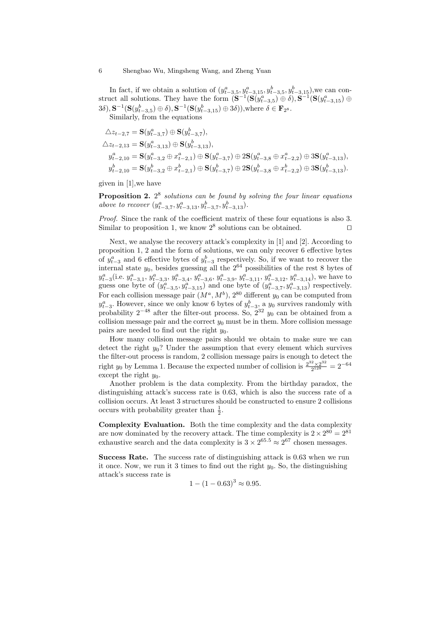In fact, if we obtain a solution of  $(y_{t-3,5}^a, y_{t-3,15}^a, y_{t-3,5}^b, y_{t-3,15}^b)$ , we can construct all solutions. They have the form  $(\mathbf{S}^{-1}(\mathbf{S}(y_{t-3,5}^a) \oplus \delta), \mathbf{S}^{-1}(\mathbf{S}(y_{t-3,15}^a) \oplus$  $(3\delta), S^{-1}(\mathbf{S}(y_{t-3,5}^b) \oplus \delta), \mathbf{S}^{-1}(\mathbf{S}(y_{t-3,15}^b) \oplus 3\delta)),$  where  $\delta \in \mathbf{F}_{2^8}$ .

Similarly, from the equations

$$
\begin{split} &\triangle z_{t-2,7}=\mathbf{S}(y_{t-3,7}^a)\oplus\mathbf{S}(y_{t-3,7}^b),\\ &\triangle z_{t-2,13}=\mathbf{S}(y_{t-3,13}^a)\oplus\mathbf{S}(y_{t-3,13}^b),\\ &y_{t-2,10}^a=\mathbf{S}(y_{t-3,2}^a\oplus x_{t-2,1}^a)\oplus\mathbf{S}(y_{t-3,7}^a)\oplus2\mathbf{S}(y_{t-3,8}^a\oplus x_{t-2,2}^a)\oplus3\mathbf{S}(y_{t-3,13}^a),\\ &y_{t-2,10}^b=\mathbf{S}(y_{t-3,2}^b\oplus x_{t-2,1}^b)\oplus\mathbf{S}(y_{t-3,7}^b)\oplus2\mathbf{S}(y_{t-3,8}^b\oplus x_{t-2,2}^b)\oplus3\mathbf{S}(y_{t-3,13}^b). \end{split}
$$

given in [1],we have

**Proposition 2.** 2 8 *solutions can be found by solving the four linear equations above to recover*  $(y_{t-3,7}^a, y_{t-3,13}^a, y_{t-3,7}^b, y_{t-3,13}^b)$ .

*Proof.* Since the rank of the coefficient matrix of these four equations is also 3. Similar to proposition 1, we know 2<sup>8</sup> solutions can be obtained. <del>□</del>

Next, we analyse the recovery attack's complexity in [1] and [2]. According to proposition 1, 2 and the form of solutions, we can only recover 6 effective bytes of  $y_{t-3}^a$  and 6 effective bytes of  $y_{t-3}^b$  respectively. So, if we want to recover the internal state *y*0, besides guessing all the 2<sup>64</sup> possibilities of the rest 8 bytes of  $y_{t-3}^a$  (i.e.  $y_{t-3,1}^a$ ,  $y_{t-3,3}^a$ ,  $y_{t-3,4}^a$ ,  $y_{t-3,6}^a$ ,  $y_{t-3,9}^a$ ,  $y_{t-3,11}^a$ ,  $y_{t-3,12}^a$ ,  $y_{t-3,14}^a$ ), we have to guess one byte of  $(y_{t-3,5}^a, y_{t-3,15}^a)$  and one byte of  $(y_{t-3,7}^a, y_{t-3,13}^a)$  respectively. For each collision message pair  $(M^a, M^b)$ , 2<sup>80</sup> different  $y_0$  can be computed from  $y_{t-3}^a$ . However, since we only know 6 bytes of  $y_{t-3}^b$ , a *y*<sub>0</sub> survives randomly with probability 2*−*<sup>48</sup> after the filter-out process. So, 2<sup>32</sup> *y*<sup>0</sup> can be obtained from a collision message pair and the correct  $y_0$  must be in them. More collision message pairs are needed to find out the right *y*0.

How many collision message pairs should we obtain to make sure we can detect the right  $y_0$ ? Under the assumption that every element which survives the filter-out process is random, 2 collision message pairs is enough to detect the right  $y_0$  by Lemma 1. Because the expected number of collision is  $\frac{2^{32} \times 2^{32}}{2^{128}}$  $\frac{2 \times 2^{32}}{2^{128}} = 2^{-64}$ except the right  $y_0$ .

Another problem is the data complexity. From the birthday paradox, the distinguishing attack's success rate is 0.63, which is also the success rate of a collision occurs. At least 3 structures should be constructed to ensure 2 collisions occurs with probability greater than  $\frac{1}{2}$ .

**Complexity Evaluation.** Both the time complexity and the data complexity are now dominated by the recovery attack. The time complexity is  $2 \times 2^{80} = 2^{81}$ exhaustive search and the data complexity is  $3 \times 2^{65.5} \approx 2^{67}$  chosen messages.

**Success Rate.** The success rate of distinguishing attack is 0*.*63 when we run it once. Now, we run it 3 times to find out the right  $y_0$ . So, the distinguishing attack's success rate is

$$
1 - (1 - 0.63)^3 \approx 0.95.
$$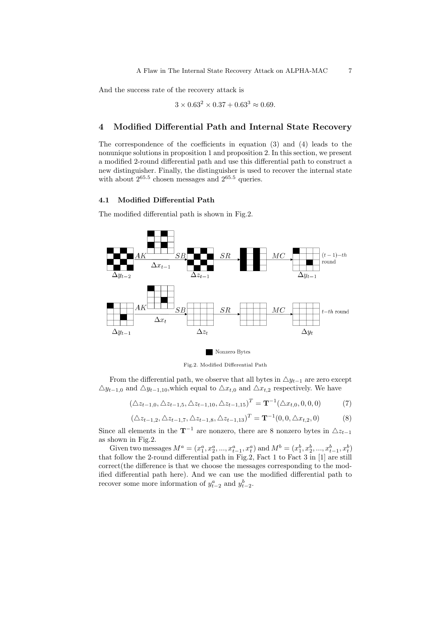And the success rate of the recovery attack is

$$
3 \times 0.63^2 \times 0.37 + 0.63^3 \approx 0.69.
$$

#### **4 Modified Differential Path and Internal State Recovery**

The correspondence of the coefficients in equation (3) and (4) leads to the nonunique solutions in proposition 1 and proposition 2. In this section, we present a modified 2-round differential path and use this differential path to construct a new distinguisher. Finally, the distinguisher is used to recover the internal state with about  $2^{65.5}$  chosen messages and  $2^{65.5}$  queries.

#### **4.1 Modified Differential Path**

The modified differential path is shown in Fig.2.



Fig.2. Modified Differential Path

From the differential path, we observe that all bytes in  $\Delta y_{t-1}$  are zero except  $\triangle y_{t-1,0}$  and  $\triangle y_{t-1,10}$ , which equal to  $\triangle x_{t,0}$  and  $\triangle x_{t,2}$  respectively. We have

$$
(\Delta z_{t-1,0}, \Delta z_{t-1,5}, \Delta z_{t-1,10}, \Delta z_{t-1,15})^T = \mathbf{T}^{-1}(\Delta x_{t,0}, 0, 0, 0)
$$
(7)

$$
(\Delta z_{t-1,2}, \Delta z_{t-1,7}, \Delta z_{t-1,8}, \Delta z_{t-1,13})^T = \mathbf{T}^{-1}(0, 0, \Delta x_{t,2}, 0)
$$
\n(8)

Since all elements in the  $\mathbf{T}^{-1}$  are nonzero, there are 8 nonzero bytes in  $\Delta z_{t-1}$ as shown in Fig.2.

Given two messages  $M^a = (x_1^a, x_2^a, ..., x_{t-1}^a, x_t^a)$  and  $M^b = (x_1^b, x_2^b, ..., x_{t-1}^b, x_t^b)$ that follow the 2-round differential path in Fig.2, Fact 1 to Fact 3 in [1] are still correct(the difference is that we choose the messages corresponding to the modified differential path here). And we can use the modified differential path to recover some more information of  $y_{t-2}^a$  and  $y_{t-2}^b$ .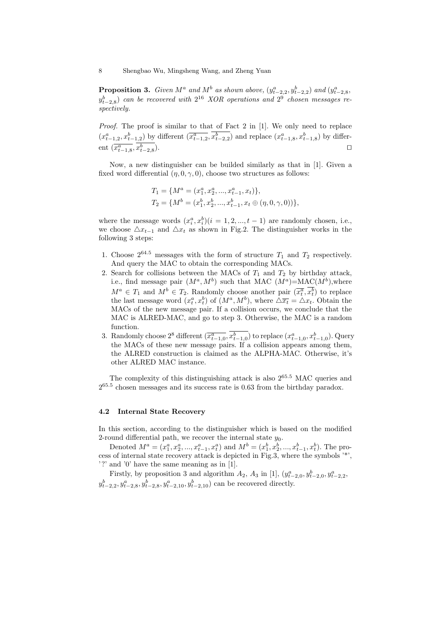8 Shengbao Wu, Mingsheng Wang, and Zheng Yuan

**Proposition 3.** Given  $M^a$  and  $M^b$  as shown above,  $(y_{t-2,2}^a, y_{t-2,2}^b)$  and  $(y_{t-2,8}^a,$  $y_{t-2,8}^b$  *can be recovered with*  $2^{16}$  *XOR operations and*  $2^9$  *chosen messages respectively.*

*Proof.* The proof is similar to that of Fact 2 in [1]. We only need to replace  $(x_{t-1,2}^a, x_{t-1,2}^b)$  by different  $(\overline{x_{t-1,2}^a}, x_{t-2,2}^b)$  and replace  $(x_{t-1,8}^a, x_{t-1,8}^b)$  by differ $ext{ent}$   $(\overline{x_{t-1,8}^a}, x_{t-2,8}^b)$ ). *⊓⊔*

Now, a new distinguisher can be builded similarly as that in [1]. Given a fixed word differential  $(\eta, 0, \gamma, 0)$ , choose two structures as follows:

$$
T_1 = \{M^a = (x_1^a, x_2^a, ..., x_{t-1}^a, x_t)\},
$$
  
\n
$$
T_2 = \{M^b = (x_1^b, x_2^b, ..., x_{t-1}^b, x_t \oplus (\eta, 0, \gamma, 0))\},
$$

where the message words  $(x_i^a, x_i^b)$  ( $i = 1, 2, ..., t - 1$ ) are randomly chosen, i.e., we choose  $\Delta x_{t-1}$  and  $\Delta x_t$  as shown in Fig.2. The distinguisher works in the following 3 steps:

- 1. Choose  $2^{64.5}$  messages with the form of structure  $T_1$  and  $T_2$  respectively. And query the MAC to obtain the corresponding MACs.
- 2. Search for collisions between the MACs of  $T_1$  and  $T_2$  by birthday attack, i.e., find message pair  $(M^a, M^b)$  such that MAC  $(M^a) = \text{MAC}(M^b)$ , where  $M^a \in T_1$  and  $M^b \in T_2$ . Randomly choose another pair  $(\overline{x_t^a}, x_t^b)$  to replace the last message word  $(x_t^a, x_t^b)$  of  $(M^a, M^b)$ , where  $\Delta \overline{x_t} = \Delta x_t$ . Obtain the MACs of the new message pair. If a collision occurs, we conclude that the MAC is ALRED-MAC, and go to step 3. Otherwise, the MAC is a random function.
- 3. Randomly choose  $2^8$  different  $(\overline{x_{t-1,0}^a}, x_{t-1,0}^b)$  to replace  $(x_{t-1,0}^a, x_{t-1,0}^b)$ . Query the MACs of these new message pairs. If a collision appears among them, the ALRED construction is claimed as the ALPHA-MAC. Otherwise, it's other ALRED MAC instance.

The complexity of this distinguishing attack is also 2<sup>65</sup>*.*<sup>5</sup> MAC queries and 2 65*.*5 chosen messages and its success rate is 0.63 from the birthday paradox.

## **4.2 Internal State Recovery**

In this section, according to the distinguisher which is based on the modified 2-round differential path, we recover the internal state  $y_0$ .

Denoted  $M^a = (x_1^a, x_2^a, ..., x_{t-1}^a, x_t^a)$  and  $M^b = (x_1^b, x_2^b, ..., x_{t-1}^b, x_t^b)$ . The process of internal state recovery attack is depicted in Fig.3, where the symbols '\*', '?' and '0' have the same meaning as in [1].

Firstly, by proposition 3 and algorithm  $A_2$ ,  $A_3$  in [1],  $(y_{t-2,0}^a, y_{t-2,0}^b, y_{t-2,2}^a)$  $y_{t-2,2}^b, y_{t-2,8}^a, y_{t-2,8}^b, y_{t-2,10}^a, y_{t-2,10}^b)$  can be recovered directly.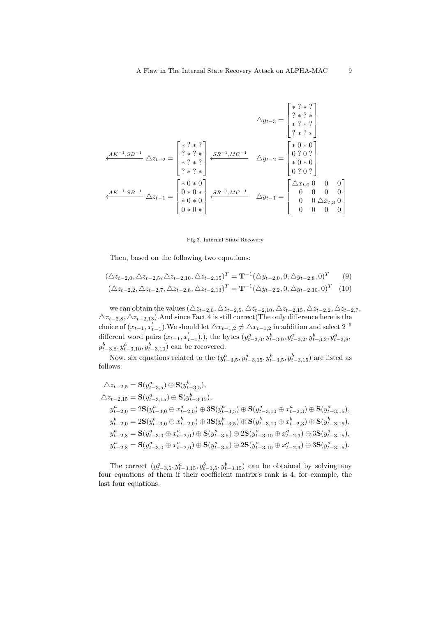*△y<sup>t</sup>−*<sup>3</sup> = 2 6 6 4 *∗* ? *∗* ? ? *∗* ? *∗ ∗* ? *∗* ? ? *∗* ? *∗* 3 7 7 5 *AK−*<sup>1</sup> *,SB−*<sup>1</sup> *←−−−−−−−− △z<sup>t</sup>−*<sup>2</sup> = 2 6 6 4 *∗* ? *∗* ? ? *∗* ? *∗ ∗* ? *∗* ? ? *∗* ? *∗* 3 7 7 5 *SR−*<sup>1</sup> *,MC−*<sup>1</sup> *←−−−−−−−− △y<sup>t</sup>−*<sup>2</sup> = 2 6 6 4 *∗* 0 *∗* 0 0 ? 0 ? *∗* 0 *∗* 0 0 ? 0 ? 3 7 7 5 *AK−*<sup>1</sup> *,SB−*<sup>1</sup> *←−−−−−−−− △z<sup>t</sup>−*<sup>1</sup> = 2 6 6 4 *∗* 0 *∗* 0 0 *∗* 0 *∗ ∗* 0 *∗* 0 0 *∗* 0 *∗* 3 7 7 5 *SR−*<sup>1</sup> *,MC−*<sup>1</sup> *←−−−−−−−− △y<sup>t</sup>−*<sup>1</sup> = 2 6 6 4 *△xt,*<sup>0</sup> 0 0 0 0 0 0 0 0 0 *△xt,*<sup>3</sup> 0 0 0 0 0 3 7 7 5

#### Fig.3. Internal State Recovery

Then, based on the following two equations:

$$
(\Delta z_{t-2,0}, \Delta z_{t-2,5}, \Delta z_{t-2,10}, \Delta z_{t-2,15})^T = \mathbf{T}^{-1}(\Delta y_{t-2,0}, 0, \Delta y_{t-2,8}, 0)^T
$$
(9)  

$$
(\Delta z_{t-2,2}, \Delta z_{t-2,7}, \Delta z_{t-2,8}, \Delta z_{t-2,13})^T = \mathbf{T}^{-1}(\Delta y_{t-2,2}, 0, \Delta y_{t-2,10}, 0)^T
$$
(10)

we can obtain the values  $(\Delta z_{t-2,0}, \Delta z_{t-2,5}, \Delta z_{t-2,10}, \Delta z_{t-2,15}, \Delta z_{t-2,2}, \Delta z_{t-2,7},$ *△z<sup>t</sup>−*2*,*8*, △z<sup>t</sup>−*2*,*13).And since Fact 4 is still correct(The only difference here is the choice of  $(x_{t-1}, x'_{t-1})$ . We should let  $\overline{\Delta x_{t-1,2}} \neq \Delta x_{t-1,2}$  in addition and select  $2^{16}$ different word pairs  $(x_{t-1}, x'_{t-1})$ .), the bytes  $(y_{t-3,0}^a, y_{t-3,0}^b, y_{t-3,2}^a, y_{t-3,2}^b, y_{t-3,8}^a,$  $y_{t-3,8}^b, y_{t-3,10}^a, y_{t-3,10}^b$  can be recovered.

Now, six equations related to the  $(y_{t-3,5}^a, y_{t-3,15}^a, y_{t-3,5}^b, y_{t-3,15}^b)$  are listed as follows:

$$
\begin{aligned} \triangle z_{t-2,5} &= \mathbf{S}(y_{t-3,5}^a) \oplus \mathbf{S}(y_{t-3,5}^b),\\ \triangle z_{t-2,15} &= \mathbf{S}(y_{t-3,15}^a) \oplus \mathbf{S}(y_{t-3,15}^b),\\ y_{t-2,0}^a &= 2\mathbf{S}(y_{t-3,0}^a \oplus x_{t-2,0}^a) \oplus 3\mathbf{S}(y_{t-3,5}^a) \oplus \mathbf{S}(y_{t-3,10}^a \oplus x_{t-2,3}^a) \oplus \mathbf{S}(y_{t-3,15}^a),\\ y_{t-2,0}^b &= 2\mathbf{S}(y_{t-3,0}^b \oplus x_{t-2,0}^b) \oplus 3\mathbf{S}(y_{t-3,5}^b) \oplus \mathbf{S}(y_{t-3,10}^b \oplus x_{t-2,3}^b) \oplus \mathbf{S}(y_{t-3,15}^b),\\ y_{t-2,8}^a &= \mathbf{S}(y_{t-3,0}^a \oplus x_{t-2,0}^a) \oplus \mathbf{S}(y_{t-3,5}^a) \oplus 2\mathbf{S}(y_{t-3,10}^a \oplus x_{t-2,3}^a) \oplus 3\mathbf{S}(y_{t-3,15}^a),\\ y_{t-2,8}^a &= \mathbf{S}(y_{t-3,0}^a \oplus x_{t-2,0}^a) \oplus \mathbf{S}(y_{t-3,5}^a) \oplus 2\mathbf{S}(y_{t-3,10}^a \oplus x_{t-2,3}^a) \oplus 3\mathbf{S}(y_{t-3,15}^a). \end{aligned}
$$

The correct  $(y_{t-3,5}^a, y_{t-3,15}^a, y_{t-3,5}^b, y_{t-3,15}^b)$  can be obtained by solving any four equations of them if their coefficient matrix's rank is 4, for example, the last four equations.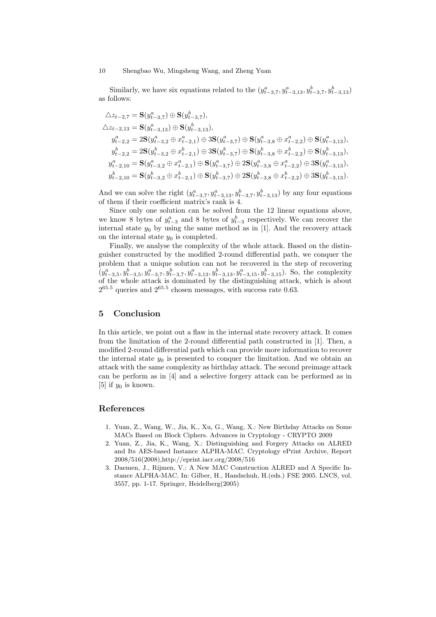Similarly, we have six equations related to the  $(y_{t-3,7}^a, y_{t-3,13}^a, y_{t-3,7}^b, y_{t-3,13}^b)$ as follows:

$$
\begin{aligned} &\triangle z_{t-2,7}=\mathbf{S}(y_{t-3,7}^a)\oplus\mathbf{S}(y_{t-3,7}^b),\\ &\triangle z_{t-2,13}=\mathbf{S}(y_{t-3,13}^a)\oplus\mathbf{S}(y_{t-3,13}^b),\\ &y_{t-2,2}^a=2\mathbf{S}(y_{t-3,2}^a\oplus x_{t-2,1}^a)\oplus3\mathbf{S}(y_{t-3,7}^a)\oplus\mathbf{S}(y_{t-3,8}^a\oplus x_{t-2,2}^a)\oplus\mathbf{S}(y_{t-3,13}^a),\\ &y_{t-2,2}^b=2\mathbf{S}(y_{t-3,2}^b\oplus x_{t-2,1}^b)\oplus3\mathbf{S}(y_{t-3,7}^b)\oplus\mathbf{S}(y_{t-3,8}^b\oplus x_{t-2,2}^b)\oplus\mathbf{S}(y_{t-3,13}^b),\\ &y_{t-2,10}^a=\mathbf{S}(y_{t-3,2}^a\oplus x_{t-2,1}^a)\oplus\mathbf{S}(y_{t-3,7}^a)\oplus2\mathbf{S}(y_{t-3,8}^a\oplus x_{t-2,2}^a)\oplus3\mathbf{S}(y_{t-3,13}^a),\\ &y_{t-2,10}^b=\mathbf{S}(y_{t-3,2}^b\oplus x_{t-2,1}^b)\oplus\mathbf{S}(y_{t-3,7}^b)\oplus2\mathbf{S}(y_{t-3,8}^b\oplus x_{t-2,2}^b)\oplus3\mathbf{S}(y_{t-3,13}^b). \end{aligned}
$$

And we can solve the right  $(y_{t-3,7}^a, y_{t-3,13}^a, y_{t-3,7}^b, y_{t-3,13}^b)$  by any four equations of them if their coefficient matrix's rank is 4.

Since only one solution can be solved from the 12 linear equations above, we know 8 bytes of  $y_{t-3}^a$  and 8 bytes of  $y_{t-3}^b$  respectively. We can recover the internal state  $y_0$  by using the same method as in [1]. And the recovery attack on the internal state  $y_0$  is completed.

Finally, we analyse the complexity of the whole attack. Based on the distinguisher constructed by the modified 2-round differential path, we conquer the problem that a unique solution can not be recovered in the step of recovering  $(y_{t-3,5}^a, y_{t-3,5}^b, y_{t-3,7}^a, y_{t-3,7}^b, y_{t-3,13}^a, y_{t-3,13}^b, y_{t-3,15}^a, y_{t-3,15}^b)$ . So, the complexity of the whole attack is dominated by the distinguishing attack, which is about 2 <sup>65</sup>*.*<sup>5</sup> queries and 2<sup>65</sup>*.*<sup>5</sup> chosen messages, with success rate 0*.*63.

#### **5 Conclusion**

In this article, we point out a flaw in the internal state recovery attack. It comes from the limitation of the 2-round differential path constructed in [1]. Then, a modified 2-round differential path which can provide more information to recover the internal state  $y_0$  is presented to conquer the limitation. And we obtain an attack with the same complexity as birthday attack. The second preimage attack can be perform as in [4] and a selective forgery attack can be performed as in [5] if  $y_0$  is known.

## **References**

- 1. Yuan, Z., Wang, W., Jia, K., Xu, G., Wang, X.: New Birthday Attacks on Some MACs Based on Block Ciphers. Advances in Cryptology - CRYPTO 2009
- 2. Yuan, Z., Jia, K., Wang, X.: Distinguishing and Forgery Attacks on ALRED and Its AES-based Instance ALPHA-MAC. Cryptology ePrint Archive, Report 2008/516(2008),http://eprint.iacr.org/2008/516
- 3. Daemen, J., Rijmen, V.: A New MAC Construction ALRED and A Specific Instance ALPHA-MAC. In: Gilber, H., Handschuh, H.(eds.) FSE 2005. LNCS, vol. 3557, pp. 1-17. Springer, Heidelberg(2005)